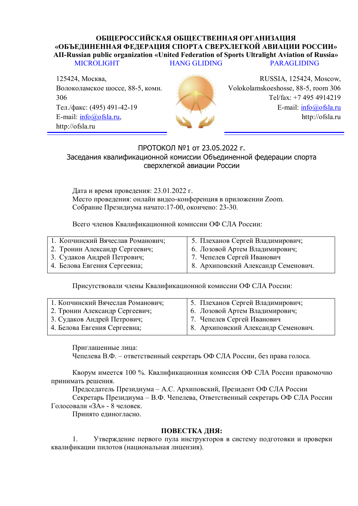## ОБШЕРОССИЙСКАЯ ОБШЕСТВЕННАЯ ОРГАНИЗАЦИЯ «ОБЪЕДИНЕННАЯ ФЕДЕРАЦИЯ СПОРТА СВЕРХЛЕГКОЙ АВИАЦИИ РОССИИ» **AII-Russian public organization «United Federation of Sports Ultralight Aviation of Russia»** MICROLIGHT HANG GLIDING PARAGLIDING

125424, Москва, Волоколамское шоссе, 88-5, комн. 306 Тел./факс: (495) 491-42-19 E-mail: [info@ofsla.ru,](mailto:info@ofsla.ru) http://ofsla.ru



RUSSIA, 125424, Moscow, Volokolamskoeshosse, 88-5, room 306 Tel/fax: +7 495 4914219 E-mail: [info@ofsla.ru](mailto:info@ofsla.ru) http://ofsla.ru

## ПРОТОКОЛ №1 от 23.05.2022 г. Заседания квалификационной комиссии Объединенной федерации спорта сверхлегкой авиации России

Дата и время проведения: 23.01.2022 г. Место проведения: онлайн видео-конференция в приложении Zoom. Собрание Президиума начато:17-00, окончено: 23-30.

Всего членов Квалификационной комиссии ОФ СЛА России:

| 1. Копчинский Вячеслав Романович; | 5. Плеханов Сергей Владимирович;    |
|-----------------------------------|-------------------------------------|
| 2. Тронин Александр Сергеевич;    | 6. Лозовой Артем Владимирович;      |
| 3. Судаков Андрей Петрович;       | 7. Чепелев Сергей Иванович          |
| 4. Белова Евгения Сергеевна;      | 8. Архиповский Александр Семенович. |
|                                   |                                     |

Присутствовали члены Квалификационной комиссии ОФ СЛА России:

| 1. Копчинский Вячеслав Романович; | 5. Плеханов Сергей Владимирович;    |
|-----------------------------------|-------------------------------------|
| 2. Тронин Александр Сергеевич;    | 6. Лозовой Артем Владимирович;      |
| 3. Судаков Андрей Петрович;       | 7. Чепелев Сергей Иванович          |
| 4. Белова Евгения Сергеевна;      | 8. Архиповский Александр Семенович. |
|                                   |                                     |

Приглашенные лица:

Чепелева В.Ф. – ответственный секретарь ОФ СЛА России, без права голоса.

Кворум имеется 100 %. Квалификационная комиссия ОФ СЛА России правомочно принимать решения.

Председатель Президиума – А.С. Архиповский, Президент ОФ СЛА России

Секретарь Президиума – В.Ф. Чепелева, Ответственный секретарь ОФ СЛА России Голосовали «ЗА» - 8 человек.

Принято единогласно.

## ПОВЕСТКА ЛНЯ:

1. Утверждение первого пула инструкторов в систему подготовки и проверки квалификации пилотов (национальная лицензия).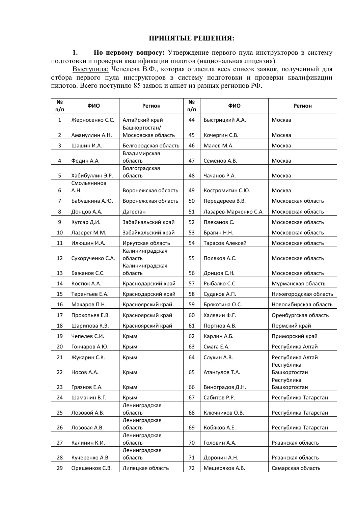## ПРИНЯТЫЕ РЕШЕНИЯ:

1. **По первому вопросу:** Утверждение первого пула инструкторов в систему подготовки и проверки квалификации пилотов (национальная лицензия).

Выступила: Чепелева В.Ф., которая огласила весь список заявок, полученный для отбора первого пула инструкторов в систему подготовки и проверки квалификации пилотов. Всего поступило 85 заявок и анкет из разных регионов РФ.

| N <sub>2</sub><br>п/п | ФИО                 | Регион                              | N <sub>2</sub><br>п/п | ФИО                   | Регион                     |
|-----------------------|---------------------|-------------------------------------|-----------------------|-----------------------|----------------------------|
| $\mathbf{1}$          | Жерносенко С.С.     | Алтайский край                      | 44                    | Быстрицкий А.А.       | Москва                     |
| $\overline{2}$        | Амануллин А.Н.      | Башкортостан/<br>Московская область | 45                    | Кочергин С.В.         | Москва                     |
| 3                     | Шашин И.А.          | Белгородская область                | 46                    | Малев М.А.            | Москва                     |
|                       |                     | Владимирская                        |                       |                       |                            |
| 4                     | Федин А.А.          | область                             | 47                    | Семенов А.В.          | Москва                     |
| 5                     | Хабибуллин Э.Р.     | Волгоградская<br>область            | 48                    | Чачанов Р.А.          | Москва                     |
| 6                     | Смольянинов<br>A.H. | Воронежская область                 | 49                    | Костромитин С.Ю.      | Москва                     |
| 7                     | Бабушкина А.Ю.      | Воронежская область                 | 50                    | Передереев В.В.       | Московская область         |
| 8                     | Донцов А.А.         | Дагестан                            | 51                    | Лазарев-Марченко С.А. | Московская область         |
| 9                     | Кутсар Д.И.         | Забайкальский край                  | 52                    | Плеханов С.           | Московская область         |
| 10                    | Лазерег М.М.        | Забайкальский край                  | 53                    | Брагин Н.Н.           | Московская область         |
| 11                    | Илюшин И.А.         | Иркутская область                   | 54                    | Тарасов Алексей       | Московская область         |
| 12                    | Сухорученко С.А.    | Калининградская<br>область          | 55                    | Поляков А.С.          | Московская область         |
| 13                    | Бажанов С.С.        | Калининградская<br>область          | 56                    | Донцов С.Н.           | Московская область         |
| 14                    | Костюк А.А.         | Краснодарский край                  | 57                    | Рыбалко С.С.          | Мурманская область         |
| 15                    | Терентьев Е.А.      | Краснодарский край                  | 58                    | Судаков А.П.          | Нижегородская область      |
| 16                    | Макаров П.Н.        | Красноярский край                   | 59                    | Брякотина О.С.        | Новосибирская область      |
| 17                    | Прокопьев Е.В.      | Красноярский край                   | 60                    | Халявин Ф.Г.          | Оренбургская область       |
| 18                    | Шарипова К.Э.       | Красноярский край                   | 61                    | Портнов А.В.          | Пермский край              |
| 19                    | Чепелев С.И.        | Крым                                | 62                    | Карлин А.Б.           | Приморский край            |
| 20                    | Гончаров А.Ю.       | Крым                                | 63                    | Смага Е.А.            | Республика Алтай           |
| 21                    | Жукарин С.К.        | Крым                                | 64                    | Слукин А.В.           | Республика Алтай           |
|                       |                     |                                     |                       |                       | Республика                 |
| 22                    | Носов А.А.          | Крым                                | 65                    | Атангулов Т.А.        | Башкортостан<br>Республика |
| 23                    | Грязнов Е.А.        | Крым                                | 66                    | Виноградов Д.Н.       | Башкортостан               |
| 24                    | Шаманин В.Г.        | Крым                                | 67                    | Сабитов Р.Р.          | Республика Татарстан       |
|                       |                     | Ленинградская                       |                       |                       |                            |
| 25                    | Лозовой А.В.        | область                             | 68                    | Ключников О.В.        | Республика Татарстан       |
| 26                    | Лозовая А.В.        | Ленинградская<br>область            | 69                    | Кобяков А.Е.          | Республика Татарстан       |
|                       |                     | Ленинградская                       |                       |                       |                            |
| 27                    | Калинин К.И.        | область                             | 70                    | Головин А.А.          | Рязанская область          |
| 28                    | Кучеренко А.В.      | Ленинградская<br>область            | 71                    | Доронин А.Н.          | Рязанская область          |
| 29                    | Орешенков С.В.      | Липецкая область                    | 72                    | Мещеряков А.В.        | Самарская область          |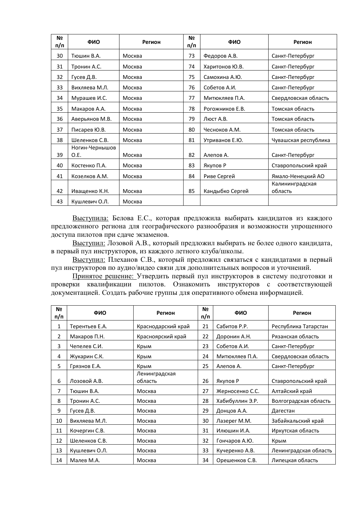| N <sub>2</sub><br>п/п | ФИО                    | Регион | N <sub>2</sub><br>п/п | ФИО             | Регион                     |
|-----------------------|------------------------|--------|-----------------------|-----------------|----------------------------|
| 30                    | Тюшин В.А.             | Москва | 73                    | Федоров А.В.    | Санкт-Петербург            |
| 31                    | Тронин А.С.            | Москва | 74                    | Харитонов Ю.В.  | Санкт-Петербург            |
| 32                    | Гусев Д.В.             | Москва | 75                    | Самохина А.Ю.   | Санкт-Петербург            |
| 33                    | Вихляева М.Л.          | Москва | 76                    | Собетов А.И.    | Санкт-Петербург            |
| 34                    | Мурашев И.С.           | Москва | 77                    | Митюкляев П.А.  | Свердловская область       |
| 35                    | Макаров А.А.           | Москва | 78                    | Рогожников Е.В. | Томская область            |
| 36                    | Аверьянов М.В.         | Москва | 79                    | Люст А.В.       | Томская область            |
| 37                    | Писарев Ю.В.           | Москва | 80                    | Чесноков А.М.   | Томская область            |
| 38                    | Шеленков С.В.          | Москва | 81                    | Утриванов Е.Ю.  | Чувашская республика       |
| 39                    | Ногин-Чернышов<br>O.E. | Москва | 82                    | Алепов А.       | Санкт-Петербург            |
| 40                    | Костенко П.А.          | Москва | 83                    | Якупов Р        | Ставропольский край        |
| 41                    | Козелков А.М.          | Москва | 84                    | Риве Сергей     | Ямало-Ненецкий АО          |
| 42                    | Иващенко К.Н.          | Москва | 85                    | Кандыбко Сергей | Калининградская<br>область |
| 43                    | Кушлевич О.Л.          | Москва |                       |                 |                            |

Выступила: Белова Е.С., которая предложила выбирать кандидатов из каждого предложенного региона для географического разнообразия и возможности упрощенного доступа пилотов при сдаче экзаменов.

Выступил: Лозовой А.В., который предложил выбирать не более одного кандидата, в первый пул инструкторов, из каждого летного клуба/школы.

Выступил: Плеханов С.В., который предложил связаться с кандидатами в первый пул инструкторов по аудио/видео связи для дополнительных вопросов и уточнений.

Принятое решение: Утвердить первый пул инструкторов в систему подготовки и проверки квалификации пилотов. Ознакомить инструкторов с соответствующей документацией. Создать рабочие группы для оперативного обмена информацией.

| Nº<br>п/п      | ФИО            | Регион                   | N₫<br>п/п | ФИО             | Регион                |
|----------------|----------------|--------------------------|-----------|-----------------|-----------------------|
| 1              | Терентьев Е.А. | Краснодарский край       | 21        | Сабитов Р.Р.    | Республика Татарстан  |
| $\overline{2}$ | Макаров П.Н.   | Красноярский край        | 22        | Доронин А.Н.    | Рязанская область     |
| 3              | Чепелев С.И.   | Крым                     | 23        | Собетов А.И.    | Санкт-Петербург       |
| 4              | Жукарин С.К.   | Крым                     | 24        | Митюкляев П.А.  | Свердловская область  |
| 5              | Грязнов Е.А.   | Крым                     | 25        | Алепов А.       | Санкт-Петербург       |
| 6              | Лозовой А.В.   | Ленинградская<br>область | 26        | Якупов Р        | Ставропольский край   |
| $\overline{7}$ | Тюшин В.А.     | Москва                   | 27        | Жерносенко С.С. | Алтайский край        |
| 8              | Тронин А.С.    | Москва                   | 28        | Хабибуллин Э.Р. | Волгоградская область |
| 9              | Гусев Д.В.     | Москва                   | 29        | Донцов А.А.     | Дагестан              |
| 10             | Вихляева М.Л.  | Москва                   | 30        | Лазерег М.М.    | Забайкальский край    |
| 11             | Кочергин С.В.  | Москва                   | 31        | Илюшин И.А.     | Иркутская область     |
| 12             | Шеленков С.В.  | Москва                   | 32        | Гончаров А.Ю.   | Крым                  |
| 13             | Кушлевич О.Л.  | Москва                   | 33        | Кучеренко А.В.  | Ленинградская область |
| 14             | Малев М.А.     | Москва                   | 34        | Орешенков С.В.  | Липецкая область      |